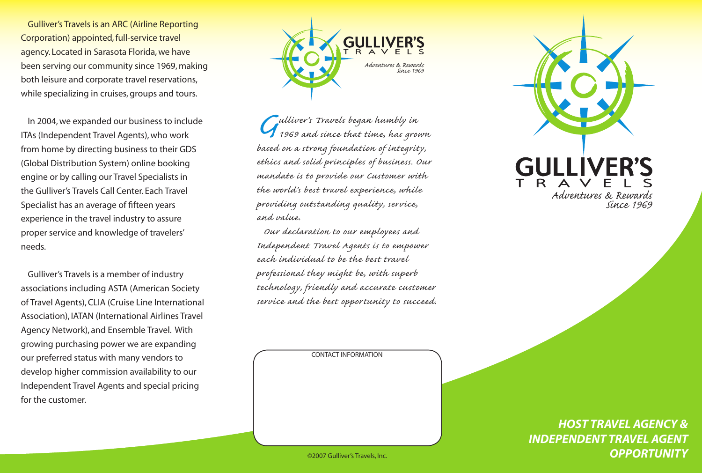Gulliver's Travels is an ARC (Airline Reporting Corporation) appointed, full-service travel agency. Located in Sarasota Florida, we have been serving our community since 1969, making both leisure and corporate travel reservations, while specializing in cruises, groups and tours.

In 2004, we expanded our business to include ITAs (Independent Travel Agents), who work from home by directing business to their GDS (Global Distribution System) online booking engine or by calling our Travel Specialists in the Gulliver's Travels Call Center. Each Travel Specialist has an average of fifteen years experience in the travel industry to assure proper service and knowledge of travelers' needs.

Gulliver's Travels is a member of industry associations including ASTA (American Society of Travel Agents), CLIA (Cruise Line International Association), IATAN (International Airlines Travel Agency Network), and Ensemble Travel. With growing purchasing power we are expanding our preferred status with many vendors to develop higher commission availability to our Independent Travel Agents and special pricing for the customer.



*Gulliver's Travels began humbly in based on a strong foundation of integrity, 1969 and since that time, has grown ethics and solid principles of business. Our mandate is to provide our Customer with the world's best travel experience, while providing outstanding quality, service, and value.*

*Our declaration to our employees and Independent Travel Agents is to empower each individual to be the best travel professional they might be, with superb technology, friendly and accurate customer service and the best opportunity to succeed.*

CONTACT INFORMATION



*HOST TRAVEL AGENCY & INDEPENDENT TRAVEL AGENT* ©2007 Gulliver's Travels, Inc. *OPPORTUNITY*